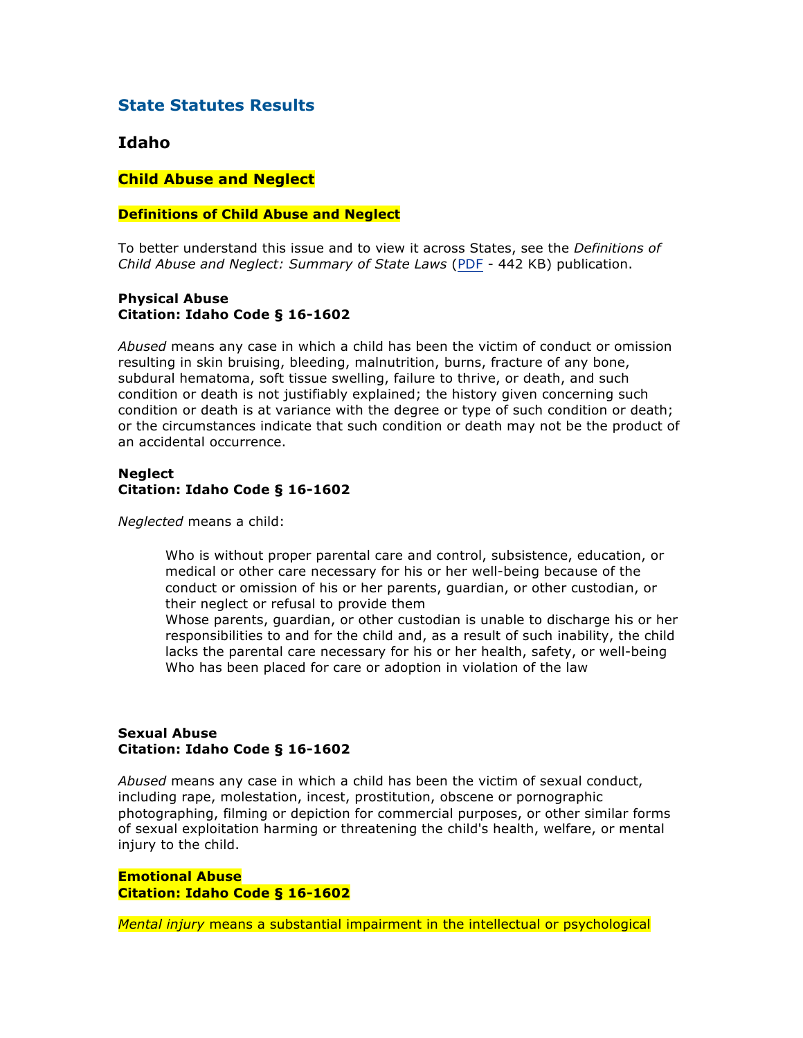# **State Statutes Results**

# **Idaho**

# **Child Abuse and Neglect**

#### **Definitions of Child Abuse and Neglect**

To better understand this issue and to view it across States, see the *Definitions of Child Abuse and Neglect: Summary of State Laws* (PDF - 442 KB) publication.

### **Physical Abuse Citation: Idaho Code § 16-1602**

*Abused* means any case in which a child has been the victim of conduct or omission resulting in skin bruising, bleeding, malnutrition, burns, fracture of any bone, subdural hematoma, soft tissue swelling, failure to thrive, or death, and such condition or death is not justifiably explained; the history given concerning such condition or death is at variance with the degree or type of such condition or death; or the circumstances indicate that such condition or death may not be the product of an accidental occurrence.

# **Neglect Citation: Idaho Code § 16-1602**

*Neglected* means a child:

Who is without proper parental care and control, subsistence, education, or medical or other care necessary for his or her well-being because of the conduct or omission of his or her parents, guardian, or other custodian, or their neglect or refusal to provide them

Whose parents, guardian, or other custodian is unable to discharge his or her responsibilities to and for the child and, as a result of such inability, the child lacks the parental care necessary for his or her health, safety, or well-being Who has been placed for care or adoption in violation of the law

# **Sexual Abuse Citation: Idaho Code § 16-1602**

*Abused* means any case in which a child has been the victim of sexual conduct, including rape, molestation, incest, prostitution, obscene or pornographic photographing, filming or depiction for commercial purposes, or other similar forms of sexual exploitation harming or threatening the child's health, welfare, or mental injury to the child.

**Emotional Abuse Citation: Idaho Code § 16-1602**

*Mental injury* means a substantial impairment in the intellectual or psychological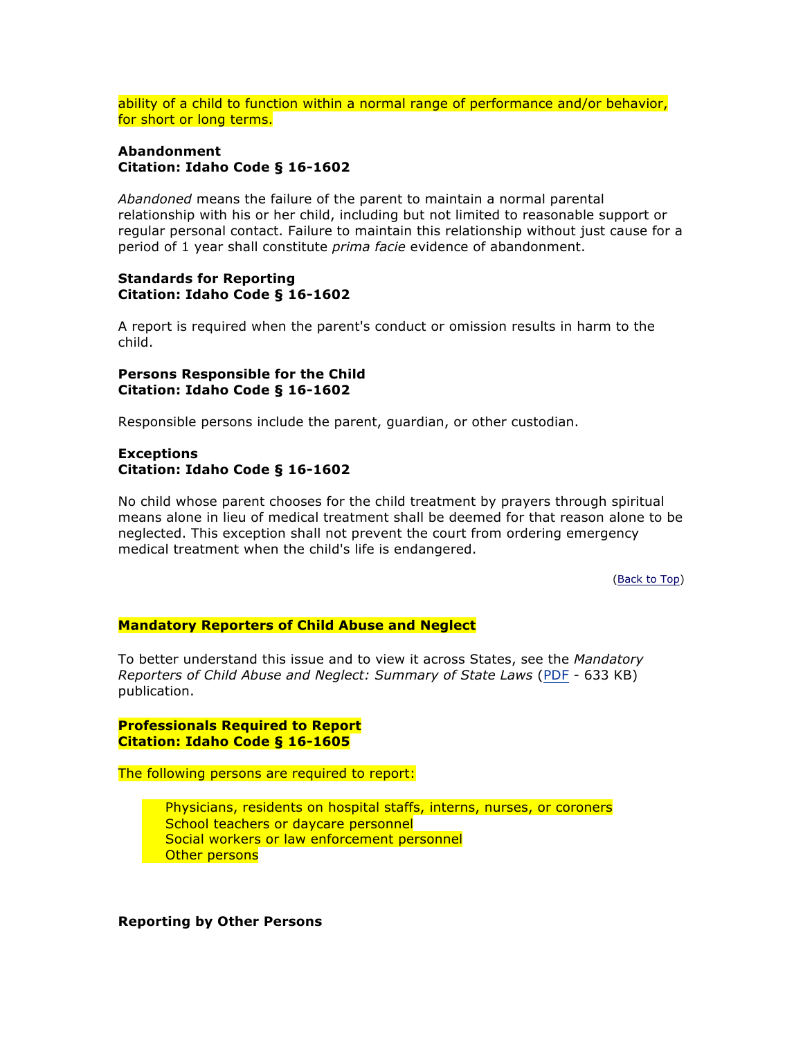ability of a child to function within a normal range of performance and/or behavior, for short or long terms.

### **Abandonment Citation: Idaho Code § 16-1602**

*Abandoned* means the failure of the parent to maintain a normal parental relationship with his or her child, including but not limited to reasonable support or regular personal contact. Failure to maintain this relationship without just cause for a period of 1 year shall constitute *prima facie* evidence of abandonment.

### **Standards for Reporting Citation: Idaho Code § 16-1602**

A report is required when the parent's conduct or omission results in harm to the child.

### **Persons Responsible for the Child Citation: Idaho Code § 16-1602**

Responsible persons include the parent, guardian, or other custodian.

# **Exceptions Citation: Idaho Code § 16-1602**

No child whose parent chooses for the child treatment by prayers through spiritual means alone in lieu of medical treatment shall be deemed for that reason alone to be neglected. This exception shall not prevent the court from ordering emergency medical treatment when the child's life is endangered.

(Back to Top)

### **Mandatory Reporters of Child Abuse and Neglect**

To better understand this issue and to view it across States, see the *Mandatory Reporters of Child Abuse and Neglect: Summary of State Laws* (PDF - 633 KB) publication.

**Professionals Required to Report Citation: Idaho Code § 16-1605**

The following persons are required to report:

Physicians, residents on hospital staffs, interns, nurses, or coroners School teachers or daycare personnel Social workers or law enforcement personnel Other persons

**Reporting by Other Persons**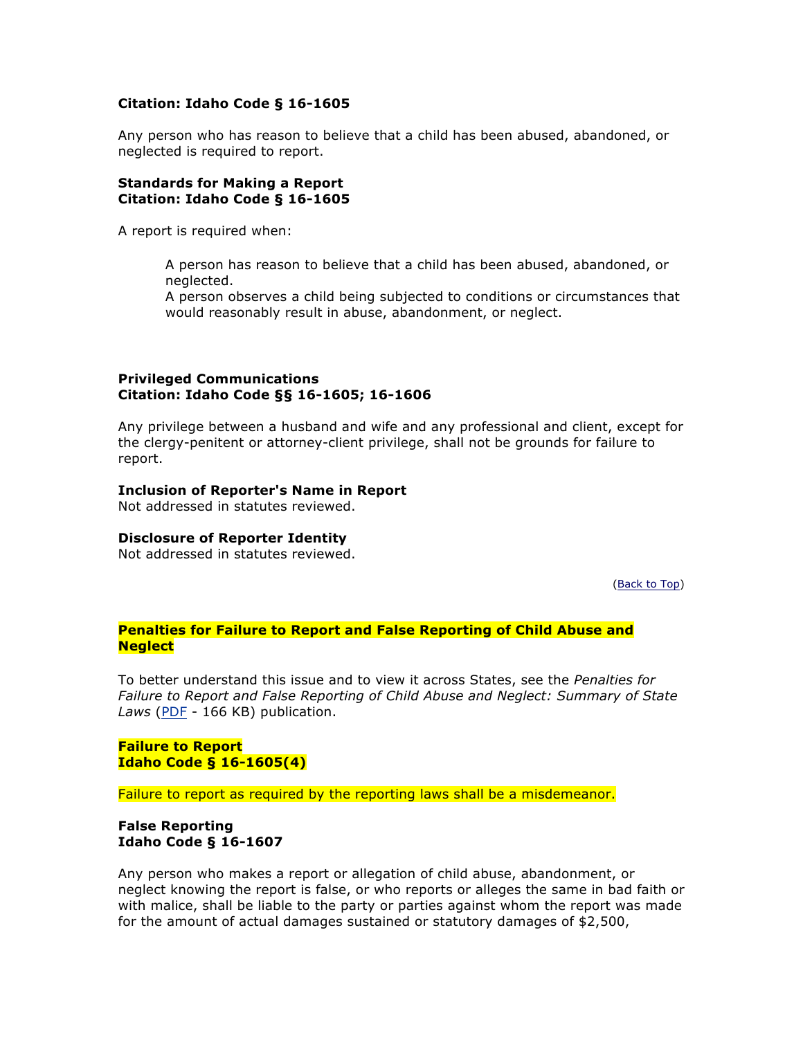### **Citation: Idaho Code § 16-1605**

Any person who has reason to believe that a child has been abused, abandoned, or neglected is required to report.

### **Standards for Making a Report Citation: Idaho Code § 16-1605**

A report is required when:

A person has reason to believe that a child has been abused, abandoned, or neglected.

A person observes a child being subjected to conditions or circumstances that would reasonably result in abuse, abandonment, or neglect.

# **Privileged Communications Citation: Idaho Code §§ 16-1605; 16-1606**

Any privilege between a husband and wife and any professional and client, except for the clergy-penitent or attorney-client privilege, shall not be grounds for failure to report.

### **Inclusion of Reporter's Name in Report**

Not addressed in statutes reviewed.

### **Disclosure of Reporter Identity**

Not addressed in statutes reviewed.

(Back to Top)

# **Penalties for Failure to Report and False Reporting of Child Abuse and Neglect**

To better understand this issue and to view it across States, see the *Penalties for Failure to Report and False Reporting of Child Abuse and Neglect: Summary of State Laws* (PDF - 166 KB) publication.

**Failure to Report Idaho Code § 16-1605(4)** 

Failure to report as required by the reporting laws shall be a misdemeanor.

# **False Reporting Idaho Code § 16-1607**

Any person who makes a report or allegation of child abuse, abandonment, or neglect knowing the report is false, or who reports or alleges the same in bad faith or with malice, shall be liable to the party or parties against whom the report was made for the amount of actual damages sustained or statutory damages of \$2,500,